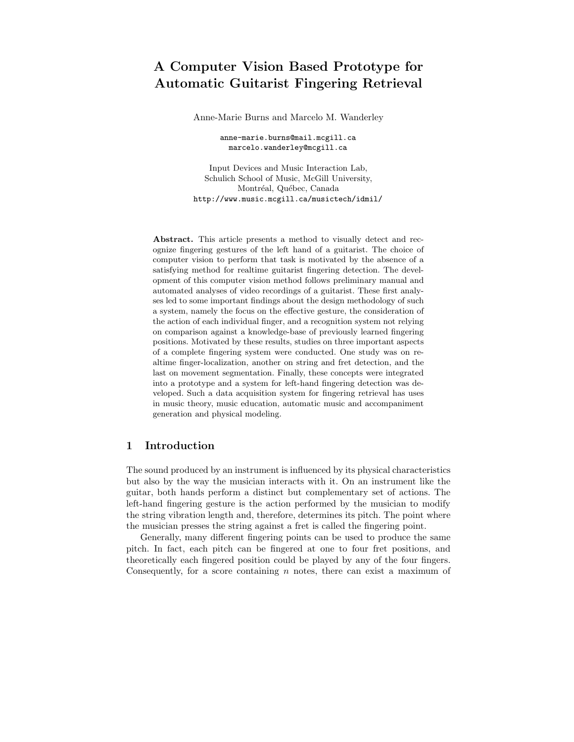# A Computer Vision Based Prototype for Automatic Guitarist Fingering Retrieval

Anne-Marie Burns and Marcelo M. Wanderley

anne-marie.burns@mail.mcgill.ca marcelo.wanderley@mcgill.ca

Input Devices and Music Interaction Lab, Schulich School of Music, McGill University, Montréal, Québec, Canada http://www.music.mcgill.ca/musictech/idmil/

Abstract. This article presents a method to visually detect and recognize fingering gestures of the left hand of a guitarist. The choice of computer vision to perform that task is motivated by the absence of a satisfying method for realtime guitarist fingering detection. The development of this computer vision method follows preliminary manual and automated analyses of video recordings of a guitarist. These first analyses led to some important findings about the design methodology of such a system, namely the focus on the effective gesture, the consideration of the action of each individual finger, and a recognition system not relying on comparison against a knowledge-base of previously learned fingering positions. Motivated by these results, studies on three important aspects of a complete fingering system were conducted. One study was on realtime finger-localization, another on string and fret detection, and the last on movement segmentation. Finally, these concepts were integrated into a prototype and a system for left-hand fingering detection was developed. Such a data acquisition system for fingering retrieval has uses in music theory, music education, automatic music and accompaniment generation and physical modeling.

# 1 Introduction

The sound produced by an instrument is influenced by its physical characteristics but also by the way the musician interacts with it. On an instrument like the guitar, both hands perform a distinct but complementary set of actions. The left-hand fingering gesture is the action performed by the musician to modify the string vibration length and, therefore, determines its pitch. The point where the musician presses the string against a fret is called the fingering point.

Generally, many different fingering points can be used to produce the same pitch. In fact, each pitch can be fingered at one to four fret positions, and theoretically each fingered position could be played by any of the four fingers. Consequently, for a score containing  $n$  notes, there can exist a maximum of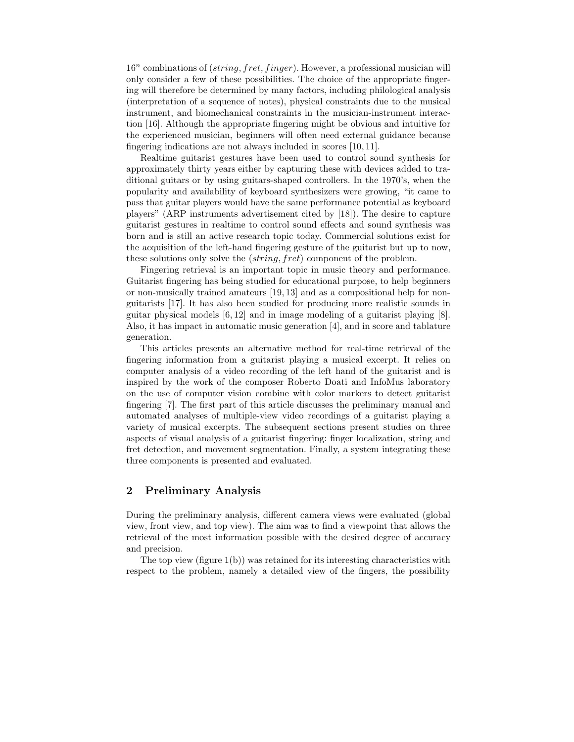$16^n$  combinations of (string, fret, finger). However, a professional musician will only consider a few of these possibilities. The choice of the appropriate fingering will therefore be determined by many factors, including philological analysis (interpretation of a sequence of notes), physical constraints due to the musical instrument, and biomechanical constraints in the musician-instrument interaction [16]. Although the appropriate fingering might be obvious and intuitive for the experienced musician, beginners will often need external guidance because fingering indications are not always included in scores [10, 11].

Realtime guitarist gestures have been used to control sound synthesis for approximately thirty years either by capturing these with devices added to traditional guitars or by using guitars-shaped controllers. In the 1970's, when the popularity and availability of keyboard synthesizers were growing, "it came to pass that guitar players would have the same performance potential as keyboard players" (ARP instruments advertisement cited by [18]). The desire to capture guitarist gestures in realtime to control sound effects and sound synthesis was born and is still an active research topic today. Commercial solutions exist for the acquisition of the left-hand fingering gesture of the guitarist but up to now, these solutions only solve the (string, fret) component of the problem.

Fingering retrieval is an important topic in music theory and performance. Guitarist fingering has being studied for educational purpose, to help beginners or non-musically trained amateurs [19, 13] and as a compositional help for nonguitarists [17]. It has also been studied for producing more realistic sounds in guitar physical models [6, 12] and in image modeling of a guitarist playing [8]. Also, it has impact in automatic music generation [4], and in score and tablature generation.

This articles presents an alternative method for real-time retrieval of the fingering information from a guitarist playing a musical excerpt. It relies on computer analysis of a video recording of the left hand of the guitarist and is inspired by the work of the composer Roberto Doati and InfoMus laboratory on the use of computer vision combine with color markers to detect guitarist fingering [7]. The first part of this article discusses the preliminary manual and automated analyses of multiple-view video recordings of a guitarist playing a variety of musical excerpts. The subsequent sections present studies on three aspects of visual analysis of a guitarist fingering: finger localization, string and fret detection, and movement segmentation. Finally, a system integrating these three components is presented and evaluated.

## 2 Preliminary Analysis

During the preliminary analysis, different camera views were evaluated (global view, front view, and top view). The aim was to find a viewpoint that allows the retrieval of the most information possible with the desired degree of accuracy and precision.

The top view (figure 1(b)) was retained for its interesting characteristics with respect to the problem, namely a detailed view of the fingers, the possibility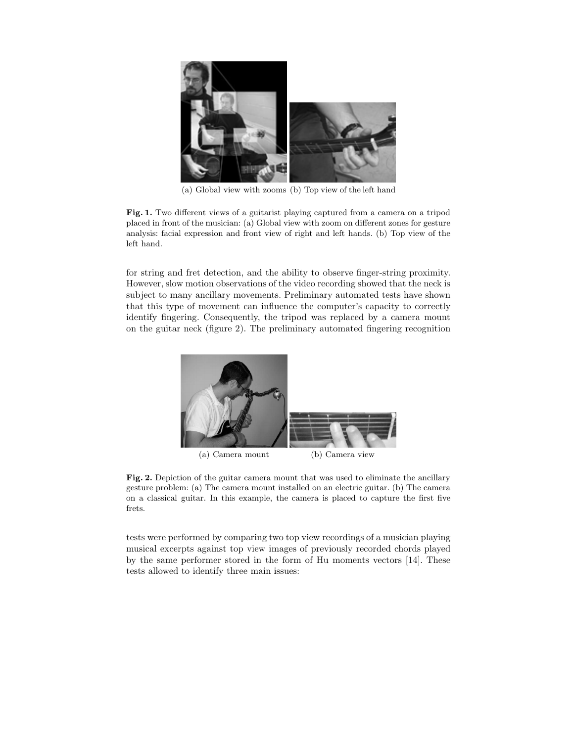

(a) Global view with zooms (b) Top view of the left hand

Fig. 1. Two different views of a guitarist playing captured from a camera on a tripod placed in front of the musician: (a) Global view with zoom on different zones for gesture analysis: facial expression and front view of right and left hands. (b) Top view of the left hand.

for string and fret detection, and the ability to observe finger-string proximity. However, slow motion observations of the video recording showed that the neck is subject to many ancillary movements. Preliminary automated tests have shown that this type of movement can influence the computer's capacity to correctly identify fingering. Consequently, the tripod was replaced by a camera mount on the guitar neck (figure 2). The preliminary automated fingering recognition



Fig. 2. Depiction of the guitar camera mount that was used to eliminate the ancillary gesture problem: (a) The camera mount installed on an electric guitar. (b) The camera on a classical guitar. In this example, the camera is placed to capture the first five frets.

tests were performed by comparing two top view recordings of a musician playing musical excerpts against top view images of previously recorded chords played by the same performer stored in the form of Hu moments vectors [14]. These tests allowed to identify three main issues: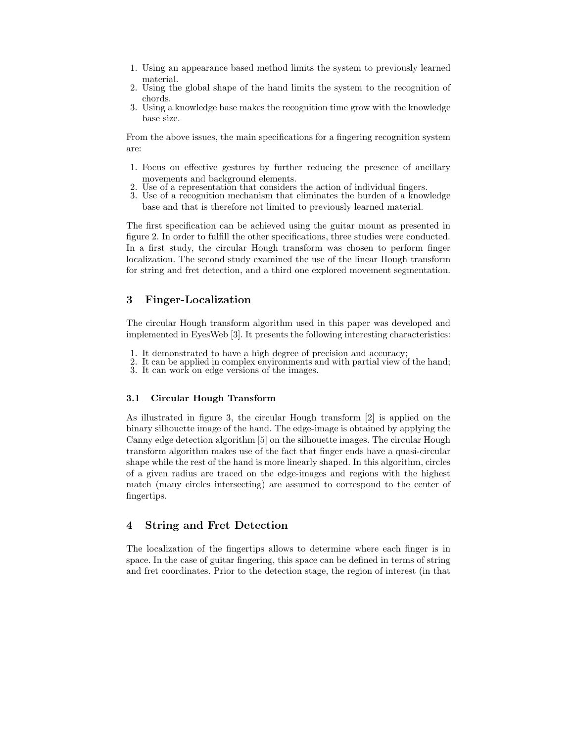- 1. Using an appearance based method limits the system to previously learned material.
- 2. Using the global shape of the hand limits the system to the recognition of chords.
- 3. Using a knowledge base makes the recognition time grow with the knowledge base size.

From the above issues, the main specifications for a fingering recognition system are:

- 1. Focus on effective gestures by further reducing the presence of ancillary movements and background elements.
- Use of a representation that considers the action of individual fingers.
- 3. Use of a recognition mechanism that eliminates the burden of a knowledge base and that is therefore not limited to previously learned material.

The first specification can be achieved using the guitar mount as presented in figure 2. In order to fulfill the other specifications, three studies were conducted. In a first study, the circular Hough transform was chosen to perform finger localization. The second study examined the use of the linear Hough transform for string and fret detection, and a third one explored movement segmentation.

# 3 Finger-Localization

The circular Hough transform algorithm used in this paper was developed and implemented in EyesWeb [3]. It presents the following interesting characteristics:

- 1. It demonstrated to have a high degree of precision and accuracy;
- 2. It can be applied in complex environments and with partial view of the hand;
- 3. It can work on edge versions of the images.

## 3.1 Circular Hough Transform

As illustrated in figure 3, the circular Hough transform [2] is applied on the binary silhouette image of the hand. The edge-image is obtained by applying the Canny edge detection algorithm [5] on the silhouette images. The circular Hough transform algorithm makes use of the fact that finger ends have a quasi-circular shape while the rest of the hand is more linearly shaped. In this algorithm, circles of a given radius are traced on the edge-images and regions with the highest match (many circles intersecting) are assumed to correspond to the center of fingertips.

# 4 String and Fret Detection

The localization of the fingertips allows to determine where each finger is in space. In the case of guitar fingering, this space can be defined in terms of string and fret coordinates. Prior to the detection stage, the region of interest (in that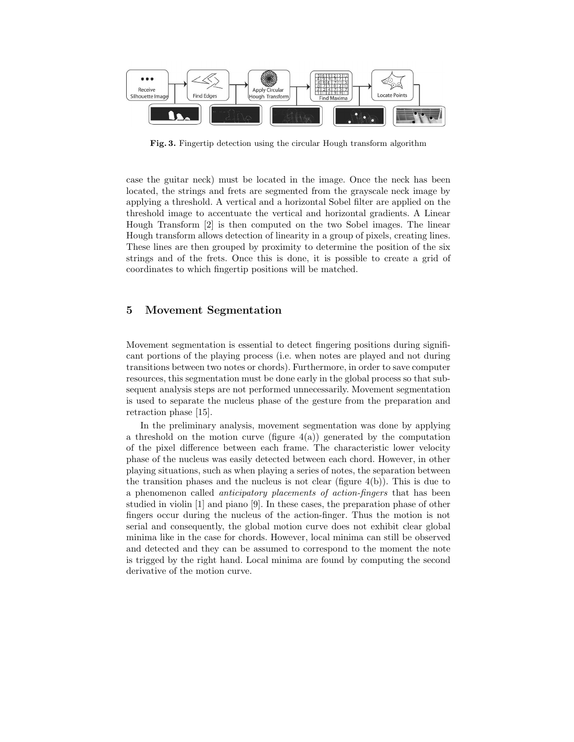

Fig. 3. Fingertip detection using the circular Hough transform algorithm

case the guitar neck) must be located in the image. Once the neck has been located, the strings and frets are segmented from the grayscale neck image by applying a threshold. A vertical and a horizontal Sobel filter are applied on the threshold image to accentuate the vertical and horizontal gradients. A Linear Hough Transform [2] is then computed on the two Sobel images. The linear Hough transform allows detection of linearity in a group of pixels, creating lines. These lines are then grouped by proximity to determine the position of the six strings and of the frets. Once this is done, it is possible to create a grid of coordinates to which fingertip positions will be matched.

## 5 Movement Segmentation

Movement segmentation is essential to detect fingering positions during significant portions of the playing process (i.e. when notes are played and not during transitions between two notes or chords). Furthermore, in order to save computer resources, this segmentation must be done early in the global process so that subsequent analysis steps are not performed unnecessarily. Movement segmentation is used to separate the nucleus phase of the gesture from the preparation and retraction phase [15].

In the preliminary analysis, movement segmentation was done by applying a threshold on the motion curve (figure  $4(a)$ ) generated by the computation of the pixel difference between each frame. The characteristic lower velocity phase of the nucleus was easily detected between each chord. However, in other playing situations, such as when playing a series of notes, the separation between the transition phases and the nucleus is not clear (figure  $4(b)$ ). This is due to a phenomenon called anticipatory placements of action-fingers that has been studied in violin [1] and piano [9]. In these cases, the preparation phase of other fingers occur during the nucleus of the action-finger. Thus the motion is not serial and consequently, the global motion curve does not exhibit clear global minima like in the case for chords. However, local minima can still be observed and detected and they can be assumed to correspond to the moment the note is trigged by the right hand. Local minima are found by computing the second derivative of the motion curve.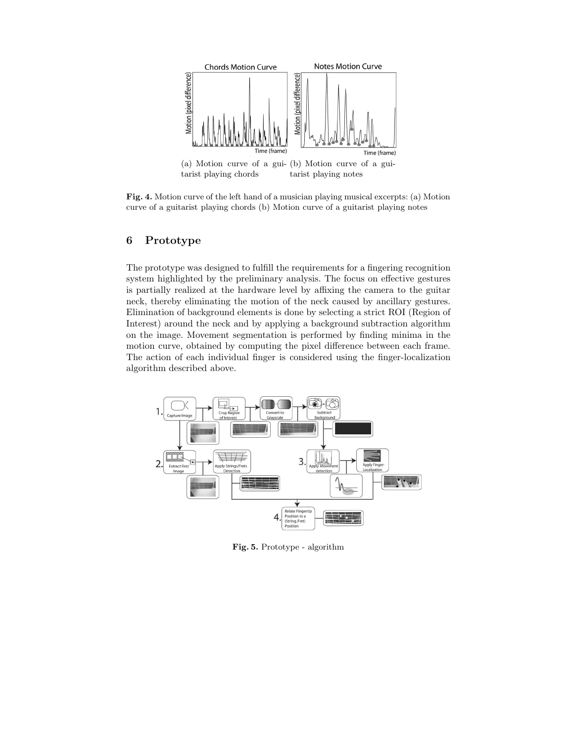

Fig. 4. Motion curve of the left hand of a musician playing musical excerpts: (a) Motion curve of a guitarist playing chords (b) Motion curve of a guitarist playing notes

# 6 Prototype

The prototype was designed to fulfill the requirements for a fingering recognition system highlighted by the preliminary analysis. The focus on effective gestures is partially realized at the hardware level by affixing the camera to the guitar neck, thereby eliminating the motion of the neck caused by ancillary gestures. Elimination of background elements is done by selecting a strict ROI (Region of Interest) around the neck and by applying a background subtraction algorithm on the image. Movement segmentation is performed by finding minima in the motion curve, obtained by computing the pixel difference between each frame. The action of each individual finger is considered using the finger-localization algorithm described above.



Fig. 5. Prototype - algorithm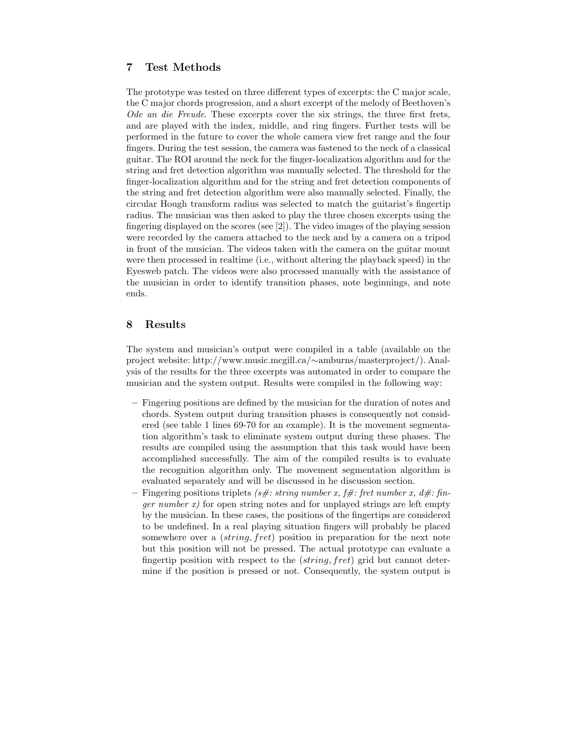# 7 Test Methods

The prototype was tested on three different types of excerpts: the C major scale, the C major chords progression, and a short excerpt of the melody of Beethoven's Ode an die Freude. These excerpts cover the six strings, the three first frets, and are played with the index, middle, and ring fingers. Further tests will be performed in the future to cover the whole camera view fret range and the four fingers. During the test session, the camera was fastened to the neck of a classical guitar. The ROI around the neck for the finger-localization algorithm and for the string and fret detection algorithm was manually selected. The threshold for the finger-localization algorithm and for the string and fret detection components of the string and fret detection algorithm were also manually selected. Finally, the circular Hough transform radius was selected to match the guitarist's fingertip radius. The musician was then asked to play the three chosen excerpts using the fingering displayed on the scores (see [2]). The video images of the playing session were recorded by the camera attached to the neck and by a camera on a tripod in front of the musician. The videos taken with the camera on the guitar mount were then processed in realtime (i.e., without altering the playback speed) in the Eyesweb patch. The videos were also processed manually with the assistance of the musician in order to identify transition phases, note beginnings, and note ends.

# 8 Results

The system and musician's output were compiled in a table (available on the project website: http://www.music.mcgill.ca/∼amburns/masterproject/). Analysis of the results for the three excerpts was automated in order to compare the musician and the system output. Results were compiled in the following way:

- Fingering positions are defined by the musician for the duration of notes and chords. System output during transition phases is consequently not considered (see table 1 lines 69-70 for an example). It is the movement segmentation algorithm's task to eliminate system output during these phases. The results are compiled using the assumption that this task would have been accomplished successfully. The aim of the compiled results is to evaluate the recognition algorithm only. The movement segmentation algorithm is evaluated separately and will be discussed in he discussion section.
- Fingering positions triplets (s#: string number x, f#: fret number x, d#: fin*ger number x*) for open string notes and for unplayed strings are left empty by the musician. In these cases, the positions of the fingertips are considered to be undefined. In a real playing situation fingers will probably be placed somewhere over a *(string, fret)* position in preparation for the next note but this position will not be pressed. The actual prototype can evaluate a fingertip position with respect to the (string, fret) grid but cannot determine if the position is pressed or not. Consequently, the system output is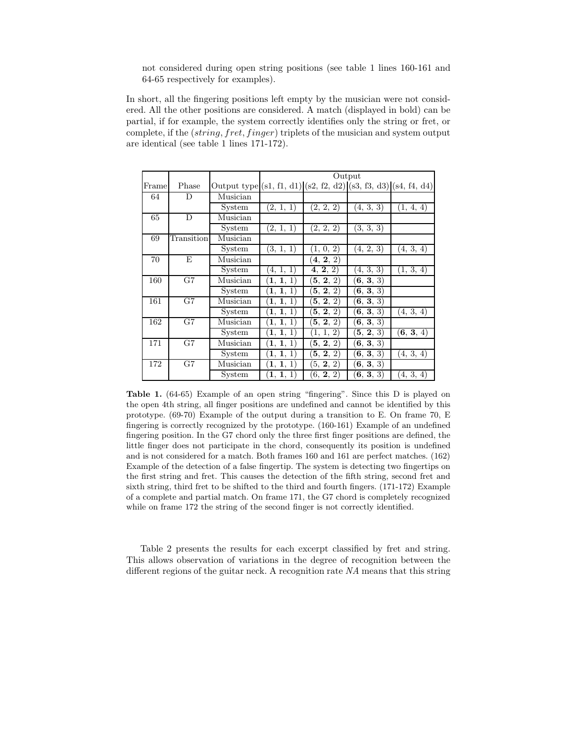not considered during open string positions (see table 1 lines 160-161 and 64-65 respectively for examples).

In short, all the fingering positions left empty by the musician were not considered. All the other positions are considered. A match (displayed in bold) can be partial, if for example, the system correctly identifies only the string or fret, or complete, if the  $(\text{string}, \text{fret}, \text{finger})$  triplets of the musician and system output are identical (see table 1 lines 171-172).

|       |            |                                                                         | Output                |                           |           |                      |  |  |
|-------|------------|-------------------------------------------------------------------------|-----------------------|---------------------------|-----------|----------------------|--|--|
| Frame | Phase      | Output type $(s1, f1, d1)$ $(s2, f2, d2)$ $(s3, f3, d3)$ $(s4, f4, d4)$ |                       |                           |           |                      |  |  |
| 64    | D          | Musician                                                                |                       |                           |           |                      |  |  |
|       |            | System                                                                  | (2, 1, 1)             | (2, 2, 2)                 | (4, 3, 3) | (1, 4, 4)            |  |  |
| 65    | D          | Musician                                                                |                       |                           |           |                      |  |  |
|       |            | System                                                                  | (2, 1, 1)             | (2, 2, 2)                 | (3, 3, 3) |                      |  |  |
| 69    | Transition | Musician                                                                |                       |                           |           |                      |  |  |
|       |            | System                                                                  | (3, 1, 1)             | $(1, 0, \overline{2})$    | (4, 2, 3) | (4, 3, 4)            |  |  |
| 70    | Ε          | Musician                                                                |                       | (4, 2, 2)                 |           |                      |  |  |
|       |            | System                                                                  | (4, 1, 1)             | $\overline{4}, 2, 2)$     | (4, 3, 3) | (1, 3, 4)            |  |  |
| 160   | G7         | Musician                                                                | 1, 1, 1               | $({\bf 5},\,{\bf 2},\,2)$ | (6, 3, 3) |                      |  |  |
|       |            | System                                                                  | 1, 1<br>$\mathbf{1},$ | $({\bf 5},\,{\bf 2},\,2)$ | (6, 3, 3) |                      |  |  |
| 161   | G7         | Musician                                                                | (1, 1, 1)             | (5, 2, 2)                 | (6, 3, 3) |                      |  |  |
|       |            | System                                                                  | $\bar{1}, 1, 1)$      | $\overline{5}, 2, 2)$     | (6, 3, 3) | $\overline{(4,3,4)}$ |  |  |
| 162   | G7         | Musician                                                                | (1, 1, 1)             | $\overline{5}$ , 2, 2)    | (6, 3, 3) |                      |  |  |
|       |            | System                                                                  | (1, 1, 1)             | (1, 1, 2)                 | (5, 2, 3) | (6, 3, 4)            |  |  |
| 171   | G7         | Musician                                                                | (1, 1, 1)             | (5, 2, 2)                 | (6, 3, 3) |                      |  |  |
|       |            | System                                                                  | 1, 1, 1               | (5, 2, 2)                 | (6, 3, 3) | (4, 3, 4)            |  |  |
| 172   | G7         | Musician                                                                | 1, 1, 1               | (5, 2, 2)                 | (6, 3, 3) |                      |  |  |
|       |            | System                                                                  | (1, 1, 1)             | (6, 2, 2)                 | (6, 3, 3) | (4, 3, 4)            |  |  |

Table 1. (64-65) Example of an open string "fingering". Since this D is played on the open 4th string, all finger positions are undefined and cannot be identified by this prototype. (69-70) Example of the output during a transition to E. On frame 70, E fingering is correctly recognized by the prototype. (160-161) Example of an undefined fingering position. In the G7 chord only the three first finger positions are defined, the little finger does not participate in the chord, consequently its position is undefined and is not considered for a match. Both frames 160 and 161 are perfect matches. (162) Example of the detection of a false fingertip. The system is detecting two fingertips on the first string and fret. This causes the detection of the fifth string, second fret and sixth string, third fret to be shifted to the third and fourth fingers. (171-172) Example of a complete and partial match. On frame 171, the G7 chord is completely recognized while on frame 172 the string of the second finger is not correctly identified.

Table 2 presents the results for each excerpt classified by fret and string. This allows observation of variations in the degree of recognition between the different regions of the guitar neck. A recognition rate NA means that this string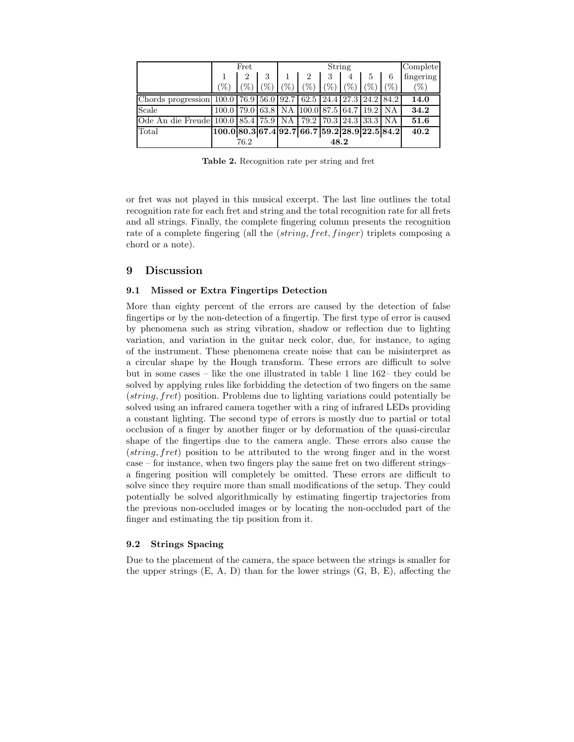|                                                                                                                  | Fret                                                  |                |         | String |                                |                 |     |                   | Complete |           |
|------------------------------------------------------------------------------------------------------------------|-------------------------------------------------------|----------------|---------|--------|--------------------------------|-----------------|-----|-------------------|----------|-----------|
|                                                                                                                  |                                                       | $\overline{2}$ | 3       |        | $\overline{2}$                 | 3               | 4   | 5                 | 6        | fingering |
|                                                                                                                  | $(\%)$                                                | $\%$           | $(\% )$ | $\%$   | $\mathscr{C}_0$                | $\mathscr{C}_0$ | (%) | $\mathcal{C}_{0}$ | $(\%)$   | $(\%)$    |
| Chords progression $(100.0 \mid 76.9 \mid 56.0 \mid 92.7 \mid 62.5 \mid 24.4 \mid 27.3 \mid 24.2 \mid 84.2 \mid$ |                                                       |                |         |        |                                |                 |     |                   |          | 14.0      |
| Scale                                                                                                            | 100.0   79.0   63.8   NA   100.0   87.5   64.7   19.2 |                |         |        |                                |                 |     |                   | NA       | 34.2      |
| Ode An die Freude 100.0 85.4 75.9 NA                                                                             |                                                       |                |         |        | 79.2   70.3   24.3   33.3   NA |                 |     |                   |          | 51.6      |
| Total                                                                                                            | $100.0 80.3 67.4 92.7 66.7 59.2 28.9 22.5 84.2 $      |                |         |        |                                |                 |     |                   |          | 40.2      |
|                                                                                                                  |                                                       | 76.2           |         | 48.2   |                                |                 |     |                   |          |           |

Table 2. Recognition rate per string and fret

or fret was not played in this musical excerpt. The last line outlines the total recognition rate for each fret and string and the total recognition rate for all frets and all strings. Finally, the complete fingering column presents the recognition rate of a complete fingering (all the *(string, fret, finger)* triplets composing a chord or a note).

## 9 Discussion

### 9.1 Missed or Extra Fingertips Detection

More than eighty percent of the errors are caused by the detection of false fingertips or by the non-detection of a fingertip. The first type of error is caused by phenomena such as string vibration, shadow or reflection due to lighting variation, and variation in the guitar neck color, due, for instance, to aging of the instrument. These phenomena create noise that can be misinterpret as a circular shape by the Hough transform. These errors are difficult to solve but in some cases – like the one illustrated in table 1 line 162– they could be solved by applying rules like forbidding the detection of two fingers on the same (string, fret) position. Problems due to lighting variations could potentially be solved using an infrared camera together with a ring of infrared LEDs providing a constant lighting. The second type of errors is mostly due to partial or total occlusion of a finger by another finger or by deformation of the quasi-circular shape of the fingertips due to the camera angle. These errors also cause the (string, fret) position to be attributed to the wrong finger and in the worst case – for instance, when two fingers play the same fret on two different strings– a fingering position will completely be omitted. These errors are difficult to solve since they require more than small modifications of the setup. They could potentially be solved algorithmically by estimating fingertip trajectories from the previous non-occluded images or by locating the non-occluded part of the finger and estimating the tip position from it.

### 9.2 Strings Spacing

Due to the placement of the camera, the space between the strings is smaller for the upper strings  $(E, A, D)$  than for the lower strings  $(G, B, E)$ , affecting the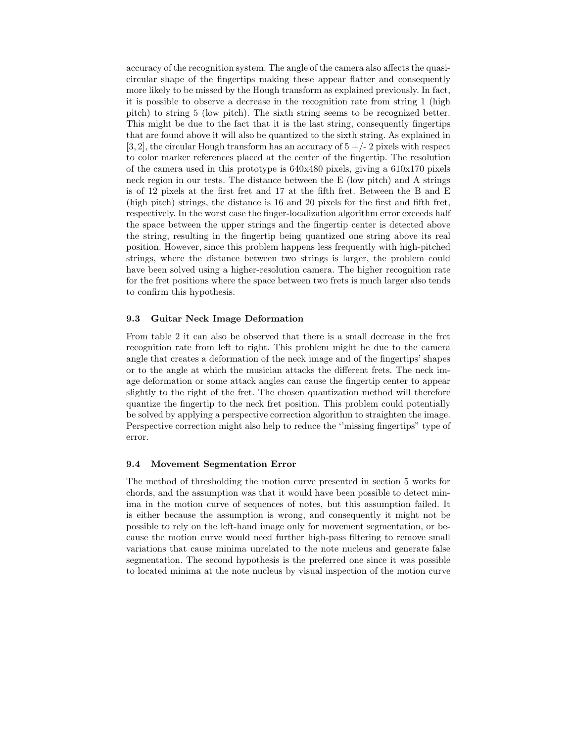accuracy of the recognition system. The angle of the camera also affects the quasicircular shape of the fingertips making these appear flatter and consequently more likely to be missed by the Hough transform as explained previously. In fact, it is possible to observe a decrease in the recognition rate from string 1 (high pitch) to string 5 (low pitch). The sixth string seems to be recognized better. This might be due to the fact that it is the last string, consequently fingertips that are found above it will also be quantized to the sixth string. As explained in  $[3, 2]$ , the circular Hough transform has an accuracy of  $5 + (-2)$  pixels with respect to color marker references placed at the center of the fingertip. The resolution of the camera used in this prototype is 640x480 pixels, giving a 610x170 pixels neck region in our tests. The distance between the E (low pitch) and A strings is of 12 pixels at the first fret and 17 at the fifth fret. Between the B and E (high pitch) strings, the distance is 16 and 20 pixels for the first and fifth fret, respectively. In the worst case the finger-localization algorithm error exceeds half the space between the upper strings and the fingertip center is detected above the string, resulting in the fingertip being quantized one string above its real position. However, since this problem happens less frequently with high-pitched strings, where the distance between two strings is larger, the problem could have been solved using a higher-resolution camera. The higher recognition rate for the fret positions where the space between two frets is much larger also tends to confirm this hypothesis.

#### 9.3 Guitar Neck Image Deformation

From table 2 it can also be observed that there is a small decrease in the fret recognition rate from left to right. This problem might be due to the camera angle that creates a deformation of the neck image and of the fingertips' shapes or to the angle at which the musician attacks the different frets. The neck image deformation or some attack angles can cause the fingertip center to appear slightly to the right of the fret. The chosen quantization method will therefore quantize the fingertip to the neck fret position. This problem could potentially be solved by applying a perspective correction algorithm to straighten the image. Perspective correction might also help to reduce the ''missing fingertips" type of error.

### 9.4 Movement Segmentation Error

The method of thresholding the motion curve presented in section 5 works for chords, and the assumption was that it would have been possible to detect minima in the motion curve of sequences of notes, but this assumption failed. It is either because the assumption is wrong, and consequently it might not be possible to rely on the left-hand image only for movement segmentation, or because the motion curve would need further high-pass filtering to remove small variations that cause minima unrelated to the note nucleus and generate false segmentation. The second hypothesis is the preferred one since it was possible to located minima at the note nucleus by visual inspection of the motion curve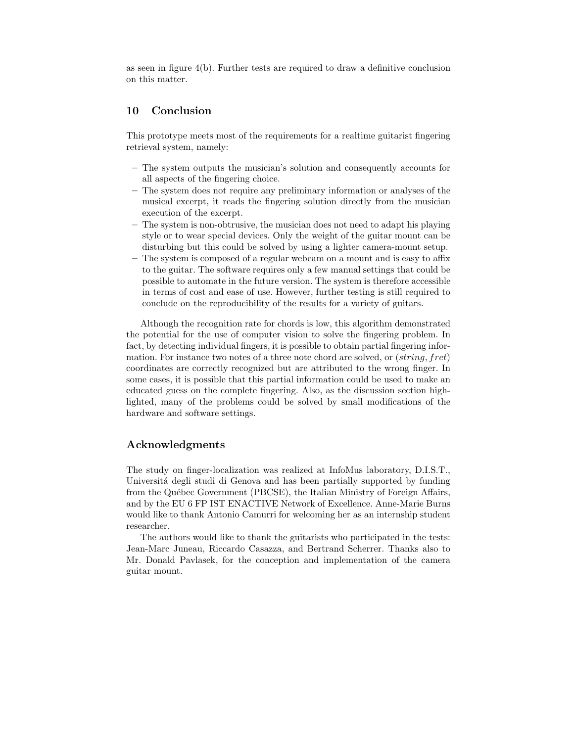as seen in figure 4(b). Further tests are required to draw a definitive conclusion on this matter.

# 10 Conclusion

This prototype meets most of the requirements for a realtime guitarist fingering retrieval system, namely:

- The system outputs the musician's solution and consequently accounts for all aspects of the fingering choice.
- The system does not require any preliminary information or analyses of the musical excerpt, it reads the fingering solution directly from the musician execution of the excerpt.
- The system is non-obtrusive, the musician does not need to adapt his playing style or to wear special devices. Only the weight of the guitar mount can be disturbing but this could be solved by using a lighter camera-mount setup.
- The system is composed of a regular webcam on a mount and is easy to affix to the guitar. The software requires only a few manual settings that could be possible to automate in the future version. The system is therefore accessible in terms of cost and ease of use. However, further testing is still required to conclude on the reproducibility of the results for a variety of guitars.

Although the recognition rate for chords is low, this algorithm demonstrated the potential for the use of computer vision to solve the fingering problem. In fact, by detecting individual fingers, it is possible to obtain partial fingering information. For instance two notes of a three note chord are solved, or (string, fret) coordinates are correctly recognized but are attributed to the wrong finger. In some cases, it is possible that this partial information could be used to make an educated guess on the complete fingering. Also, as the discussion section highlighted, many of the problems could be solved by small modifications of the hardware and software settings.

# Acknowledgments

The study on finger-localization was realized at InfoMus laboratory, D.I.S.T., Università degli studi di Genova and has been partially supported by funding from the Québec Government (PBCSE), the Italian Ministry of Foreign Affairs, and by the EU 6 FP IST ENACTIVE Network of Excellence. Anne-Marie Burns would like to thank Antonio Camurri for welcoming her as an internship student researcher.

The authors would like to thank the guitarists who participated in the tests: Jean-Marc Juneau, Riccardo Casazza, and Bertrand Scherrer. Thanks also to Mr. Donald Pavlasek, for the conception and implementation of the camera guitar mount.